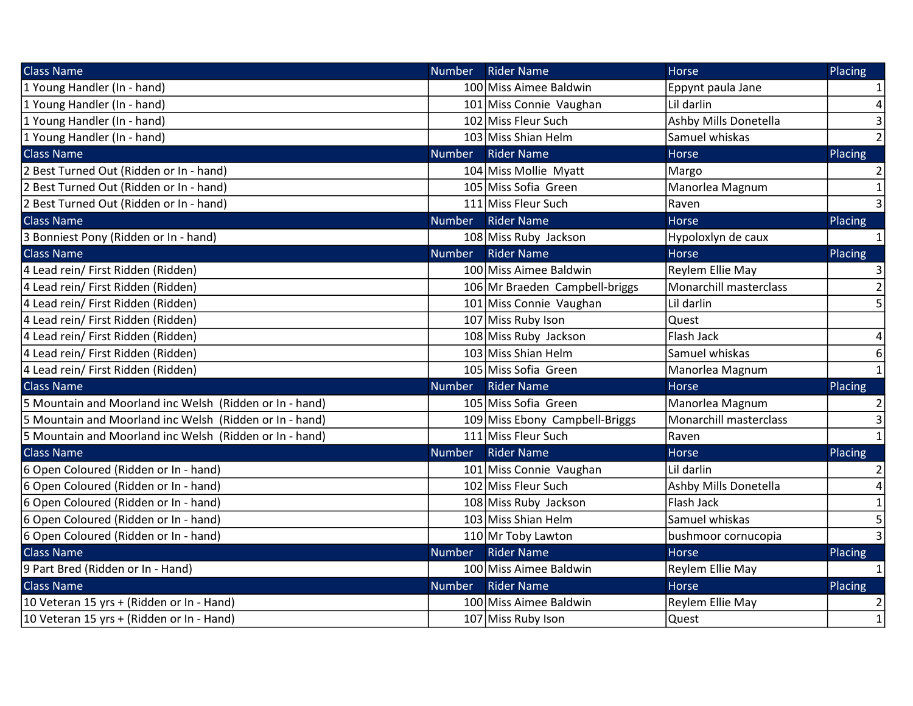| <b>Class Name</b>                                       | <b>Number</b> | <b>Rider Name</b>              | <b>Horse</b>           | Placing        |
|---------------------------------------------------------|---------------|--------------------------------|------------------------|----------------|
| 1 Young Handler (In - hand)                             |               | 100 Miss Aimee Baldwin         | Eppynt paula Jane      | $\mathbf{1}$   |
| 1 Young Handler (In - hand)                             |               | 101 Miss Connie Vaughan        | Lil darlin             | 4              |
| 1 Young Handler (In - hand)                             |               | 102 Miss Fleur Such            | Ashby Mills Donetella  | 3              |
| 1 Young Handler (In - hand)                             |               | 103 Miss Shian Helm            | Samuel whiskas         | $\overline{2}$ |
| <b>Class Name</b>                                       | <b>Number</b> | <b>Rider Name</b>              | Horse                  | Placing        |
| 2 Best Turned Out (Ridden or In - hand)                 |               | 104 Miss Mollie Myatt          | Margo                  | $\overline{2}$ |
| 2 Best Turned Out (Ridden or In - hand)                 |               | 105 Miss Sofia Green           | Manorlea Magnum        | $\mathbf{1}$   |
| 2 Best Turned Out (Ridden or In - hand)                 |               | 111 Miss Fleur Such            | Raven                  | $\overline{3}$ |
| <b>Class Name</b>                                       | <b>Number</b> | <b>Rider Name</b>              | <b>Horse</b>           | Placing        |
| 3 Bonniest Pony (Ridden or In - hand)                   |               | 108 Miss Ruby Jackson          | Hypoloxlyn de caux     | $\mathbf{1}$   |
| <b>Class Name</b>                                       | <b>Number</b> | <b>Rider Name</b>              | Horse                  | Placing        |
| 4 Lead rein/ First Ridden (Ridden)                      |               | 100 Miss Aimee Baldwin         | Reylem Ellie May       | 3              |
| 4 Lead rein/ First Ridden (Ridden)                      |               | 106 Mr Braeden Campbell-briggs | Monarchill masterclass | $\overline{2}$ |
| 4 Lead rein/ First Ridden (Ridden)                      |               | 101 Miss Connie Vaughan        | Lil darlin             | 5              |
| 4 Lead rein/ First Ridden (Ridden)                      |               | 107 Miss Ruby Ison             | Quest                  |                |
| 4 Lead rein/ First Ridden (Ridden)                      |               | 108 Miss Ruby Jackson          | Flash Jack             | 4              |
| 4 Lead rein/ First Ridden (Ridden)                      |               | 103 Miss Shian Helm            | Samuel whiskas         | 6              |
| 4 Lead rein/ First Ridden (Ridden)                      |               | 105 Miss Sofia Green           | Manorlea Magnum        | $\mathbf{1}$   |
| <b>Class Name</b>                                       | <b>Number</b> | <b>Rider Name</b>              | Horse                  | Placing        |
| 5 Mountain and Moorland inc Welsh (Ridden or In - hand) |               | 105 Miss Sofia Green           | Manorlea Magnum        | 2              |
| 5 Mountain and Moorland inc Welsh (Ridden or In - hand) |               | 109 Miss Ebony Campbell-Briggs | Monarchill masterclass | 3              |
| 5 Mountain and Moorland inc Welsh (Ridden or In - hand) |               | 111 Miss Fleur Such            | Raven                  | $\mathbf{1}$   |
| <b>Class Name</b>                                       | <b>Number</b> | <b>Rider Name</b>              | Horse                  | Placing        |
| 6 Open Coloured (Ridden or In - hand)                   |               | 101 Miss Connie Vaughan        | Lil darlin             | $\overline{2}$ |
| 6 Open Coloured (Ridden or In - hand)                   |               | 102 Miss Fleur Such            | Ashby Mills Donetella  | 4              |
| 6 Open Coloured (Ridden or In - hand)                   |               | 108 Miss Ruby Jackson          | Flash Jack             | $\mathbf{1}$   |
| 6 Open Coloured (Ridden or In - hand)                   |               | 103 Miss Shian Helm            | Samuel whiskas         | 5              |
| 6 Open Coloured (Ridden or In - hand)                   |               | 110 Mr Toby Lawton             | bushmoor cornucopia    | 3              |
| <b>Class Name</b>                                       | <b>Number</b> | <b>Rider Name</b>              | <b>Horse</b>           | Placing        |
| 9 Part Bred (Ridden or In - Hand)                       |               | 100 Miss Aimee Baldwin         | Reylem Ellie May       | $\mathbf{1}$   |
| <b>Class Name</b>                                       | <b>Number</b> | <b>Rider Name</b>              | Horse                  | Placing        |
| 10 Veteran 15 yrs + (Ridden or In - Hand)               |               | 100 Miss Aimee Baldwin         | Reylem Ellie May       | 2              |
| 10 Veteran 15 yrs + (Ridden or In - Hand)               |               | 107 Miss Ruby Ison             | <b>Quest</b>           | $\mathbf{1}$   |